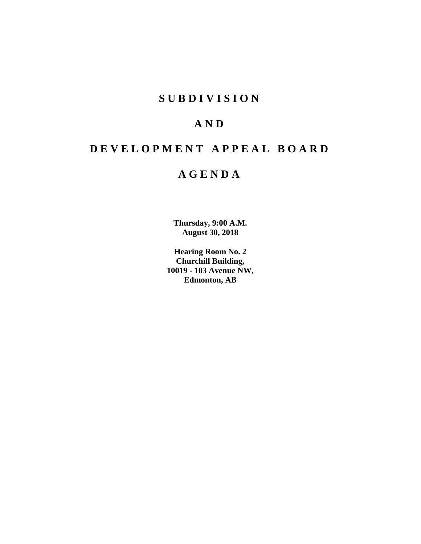# **SUBDIVISION**

# **AND**

# **DEVELOPMENT APPEAL BOARD**

# **AGENDA**

**Thursday, 9:00 A.M. August 30, 2018**

**Hearing Room No. 2 Churchill Building, 10019 - 103 Avenue NW, Edmonton, AB**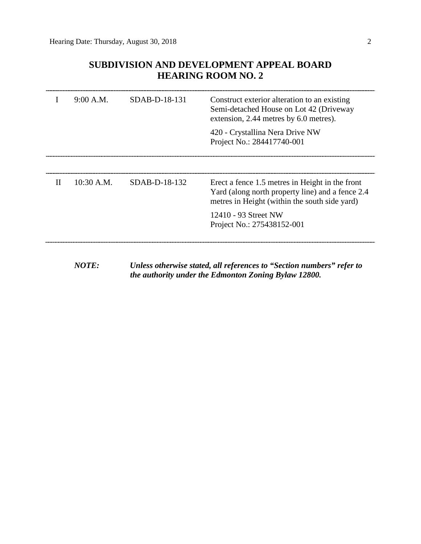# **SUBDIVISION AND DEVELOPMENT APPEAL BOARD HEARING ROOM NO. 2**

| $_{\rm II}$<br>$10:30$ A.M.<br>$SDAB-D-18-132$<br>Erect a fence 1.5 metres in Height in the front<br>Yard (along north property line) and a fence 2.4<br>metres in Height (within the south side yard)<br>12410 - 93 Street NW<br>Project No.: 275438152-001 | 9:00 A.M. | SDAB-D-18-131 | Construct exterior alteration to an existing<br>Semi-detached House on Lot 42 (Driveway<br>extension, 2.44 metres by 6.0 metres).<br>420 - Crystallina Nera Drive NW<br>Project No.: 284417740-001 |
|--------------------------------------------------------------------------------------------------------------------------------------------------------------------------------------------------------------------------------------------------------------|-----------|---------------|----------------------------------------------------------------------------------------------------------------------------------------------------------------------------------------------------|
|                                                                                                                                                                                                                                                              |           |               |                                                                                                                                                                                                    |

*NOTE: Unless otherwise stated, all references to "Section numbers" refer to the authority under the Edmonton Zoning Bylaw 12800.*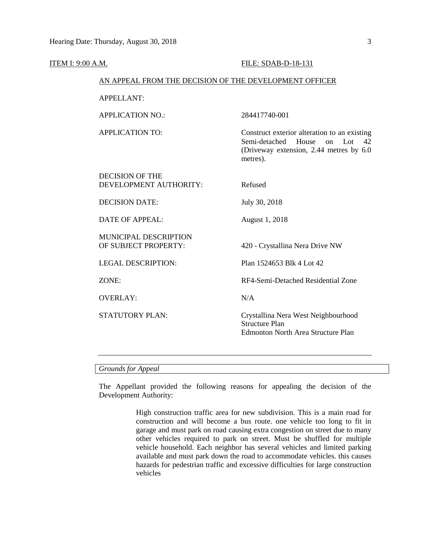| ITEM I: 9:00 A.M. |                                                        | FILE: SDAB-D-18-131                                                                                                                              |  |  |  |  |  |
|-------------------|--------------------------------------------------------|--------------------------------------------------------------------------------------------------------------------------------------------------|--|--|--|--|--|
|                   | AN APPEAL FROM THE DECISION OF THE DEVELOPMENT OFFICER |                                                                                                                                                  |  |  |  |  |  |
|                   | <b>APPELLANT:</b>                                      |                                                                                                                                                  |  |  |  |  |  |
|                   | <b>APPLICATION NO.:</b>                                | 284417740-001                                                                                                                                    |  |  |  |  |  |
|                   | <b>APPLICATION TO:</b>                                 | Construct exterior alteration to an existing<br>Semi-detached<br>House<br>Lot<br>on<br>42<br>(Driveway extension, 2.44 metres by 6.0<br>metres). |  |  |  |  |  |
|                   | <b>DECISION OF THE</b><br>DEVELOPMENT AUTHORITY:       | Refused                                                                                                                                          |  |  |  |  |  |
|                   | <b>DECISION DATE:</b>                                  | July 30, 2018                                                                                                                                    |  |  |  |  |  |
|                   | <b>DATE OF APPEAL:</b>                                 | August 1, 2018                                                                                                                                   |  |  |  |  |  |
|                   | MUNICIPAL DESCRIPTION<br>OF SUBJECT PROPERTY:          | 420 - Crystallina Nera Drive NW                                                                                                                  |  |  |  |  |  |
|                   | <b>LEGAL DESCRIPTION:</b>                              | Plan 1524653 Blk 4 Lot 42                                                                                                                        |  |  |  |  |  |
|                   | ZONE:                                                  | RF4-Semi-Detached Residential Zone                                                                                                               |  |  |  |  |  |
|                   | <b>OVERLAY:</b>                                        | N/A                                                                                                                                              |  |  |  |  |  |
|                   | <b>STATUTORY PLAN:</b>                                 | Crystallina Nera West Neighbourhood<br><b>Structure Plan</b><br><b>Edmonton North Area Structure Plan</b>                                        |  |  |  |  |  |
|                   |                                                        |                                                                                                                                                  |  |  |  |  |  |

### *Grounds for Appeal*

The Appellant provided the following reasons for appealing the decision of the Development Authority:

> High construction traffic area for new subdivision. This is a main road for construction and will become a bus route. one vehicle too long to fit in garage and must park on road causing extra congestion on street due to many other vehicles required to park on street. Must be shuffled for multiple vehicle household. Each neighbor has several vehicles and limited parking available and must park down the road to accommodate vehicles. this causes hazards for pedestrian traffic and excessive difficulties for large construction vehicles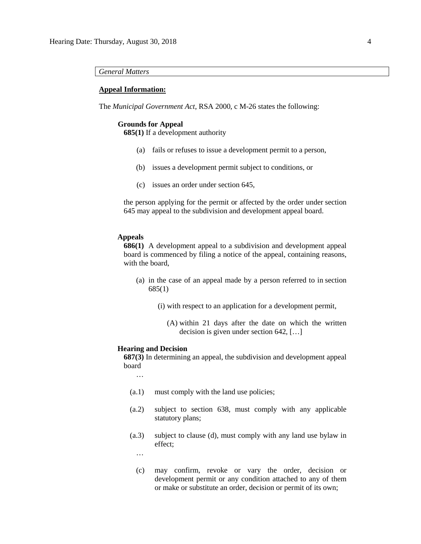### *General Matters*

#### **Appeal Information:**

The *Municipal Government Act*, RSA 2000, c M-26 states the following:

### **Grounds for Appeal**

**685(1)** If a development authority

- (a) fails or refuses to issue a development permit to a person,
- (b) issues a development permit subject to conditions, or
- (c) issues an order under section 645,

the person applying for the permit or affected by the order under section 645 may appeal to the subdivision and development appeal board.

#### **Appeals**

**686(1)** A development appeal to a subdivision and development appeal board is commenced by filing a notice of the appeal, containing reasons, with the board,

- (a) in the case of an appeal made by a person referred to in section 685(1)
	- (i) with respect to an application for a development permit,
		- (A) within 21 days after the date on which the written decision is given under section 642, […]

#### **Hearing and Decision**

**687(3)** In determining an appeal, the subdivision and development appeal board

…

- (a.1) must comply with the land use policies;
- (a.2) subject to section 638, must comply with any applicable statutory plans;
- (a.3) subject to clause (d), must comply with any land use bylaw in effect;

…

(c) may confirm, revoke or vary the order, decision or development permit or any condition attached to any of them or make or substitute an order, decision or permit of its own;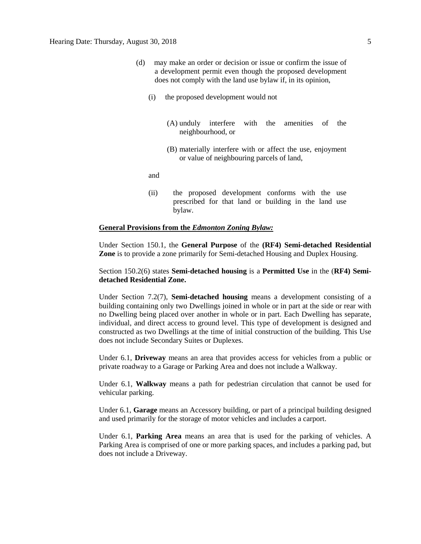- (d) may make an order or decision or issue or confirm the issue of a development permit even though the proposed development does not comply with the land use bylaw if, in its opinion,
	- (i) the proposed development would not
		- (A) unduly interfere with the amenities of the neighbourhood, or
		- (B) materially interfere with or affect the use, enjoyment or value of neighbouring parcels of land,

and

(ii) the proposed development conforms with the use prescribed for that land or building in the land use bylaw.

#### **General Provisions from the** *Edmonton Zoning Bylaw:*

Under Section 150.1, the **General Purpose** of the **(RF4) Semi-detached Residential Zone** is to provide a zone primarily for Semi-detached Housing and Duplex Housing.

### Section 150.2(6) states **Semi-detached housing** is a **Permitted Use** in the (**RF4) Semidetached Residential Zone.**

Under Section 7.2(7), **Semi-detached housing** means a development consisting of a building containing only two Dwellings joined in whole or in part at the side or rear with no Dwelling being placed over another in whole or in part. Each Dwelling has separate, individual, and direct access to ground level. This type of development is designed and constructed as two Dwellings at the time of initial construction of the building. This Use does not include Secondary Suites or Duplexes.

Under 6.1, **Driveway** means an area that provides access for vehicles from a public or private roadway to a Garage or Parking Area and does not include a Walkway.

Under 6.1, **Walkway** means a path for pedestrian circulation that cannot be used for vehicular parking.

Under 6.1, **Garage** means an Accessory building, or part of a principal building designed and used primarily for the storage of motor vehicles and includes a carport.

Under 6.1, **Parking Area** means an area that is used for the parking of vehicles. A Parking Area is comprised of one or more parking spaces, and includes a parking pad, but does not include a Driveway.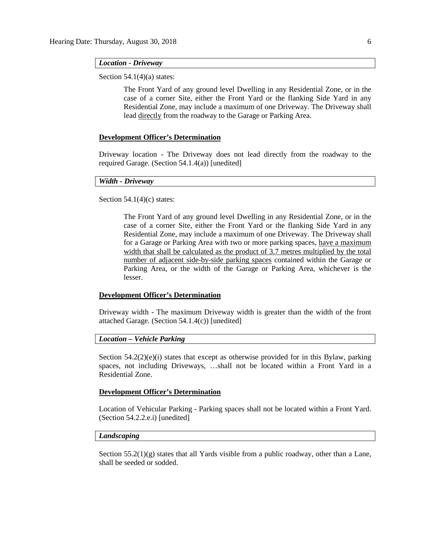#### *Location - Driveway*

Section  $54.1(4)(a)$  states:

The Front Yard of any ground level Dwelling in any Residential Zone, or in the case of a corner Site, either the Front Yard or the flanking Side Yard in any Residential Zone, may include a maximum of one Driveway. The Driveway shall lead directly from the roadway to the Garage or Parking Area.

#### **Development Officer's Determination**

Driveway location - The Driveway does not lead directly from the roadway to the required Garage. (Section 54.1.4(a)) [unedited]

### *Width - Driveway*

Section  $54.1(4)(c)$  states:

The Front Yard of any ground level Dwelling in any Residential Zone, or in the case of a corner Site, either the Front Yard or the flanking Side Yard in any Residential Zone, may include a maximum of one Driveway. The Driveway shall for a Garage or Parking Area with two or more parking spaces, have a maximum width that shall be calculated as the product of [3.7 me](javascript:void(0);)tres multiplied by the total number of adjacent side-by-side parking spaces contained within the Garage or Parking Area, or the width of the Garage or Parking Area, whichever is the lesser.

### **Development Officer's Determination**

Driveway width - The maximum Driveway width is greater than the width of the front attached Garage. (Section 54.1.4(c)) [unedited]

#### *Location – Vehicle Parking*

Section  $54.2(2)(e)(i)$  states that except as otherwise provided for in this Bylaw, parking spaces, not including Driveways, …shall not be located within a Front Yard in a Residential Zone.

#### **Development Officer's Determination**

Location of Vehicular Parking - Parking spaces shall not be located within a Front Yard. (Section 54.2.2.e.i) [unedited]

#### *Landscaping*

Section  $55.2(1)(g)$  states that all Yards visible from a public roadway, other than a Lane, shall be seeded or sodded.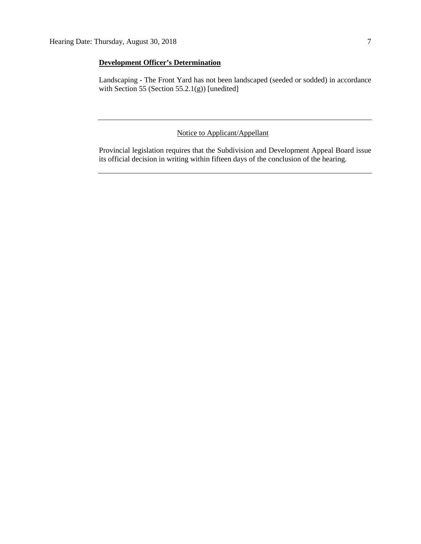## **Development Officer's Determination**

Landscaping - The Front Yard has not been landscaped (seeded or sodded) in accordance with Section 55 (Section 55.2.1(g)) [unedited]

## Notice to Applicant/Appellant

Provincial legislation requires that the Subdivision and Development Appeal Board issue its official decision in writing within fifteen days of the conclusion of the hearing.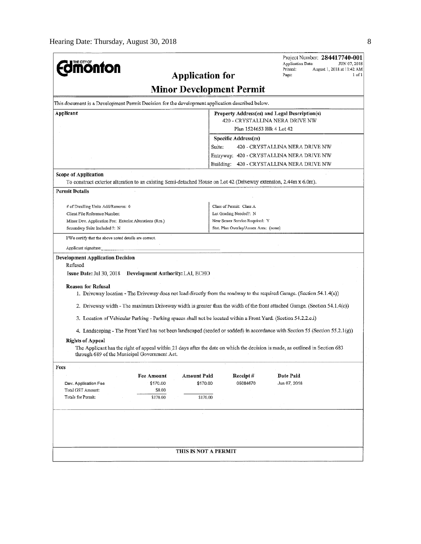|                                                                                                                                                  |                   |                                 |                                       | Project Number: 284417740-001<br><b>Application Date:</b><br>JUN 07, 2018                                                     |  |  |
|--------------------------------------------------------------------------------------------------------------------------------------------------|-------------------|---------------------------------|---------------------------------------|-------------------------------------------------------------------------------------------------------------------------------|--|--|
| <b>MONTON</b>                                                                                                                                    |                   |                                 |                                       | Printed:<br>August 1, 2018 at 11:42 AM<br>Page:<br>$1$ of $1$                                                                 |  |  |
|                                                                                                                                                  |                   | <b>Application for</b>          |                                       |                                                                                                                               |  |  |
|                                                                                                                                                  |                   | <b>Minor Development Permit</b> |                                       |                                                                                                                               |  |  |
| This document is a Development Permit Decision for the development application described below.                                                  |                   |                                 |                                       |                                                                                                                               |  |  |
| Applicant<br>Property Address(es) and Legal Description(s)                                                                                       |                   |                                 |                                       |                                                                                                                               |  |  |
| 420 - CRYSTALLINA NERA DRIVE NW                                                                                                                  |                   |                                 |                                       |                                                                                                                               |  |  |
| Plan 1524653 Blk 4 Lot 42                                                                                                                        |                   |                                 |                                       |                                                                                                                               |  |  |
|                                                                                                                                                  |                   |                                 | Specific Address(es)                  |                                                                                                                               |  |  |
|                                                                                                                                                  |                   | Suite:                          |                                       | 420 - CRYSTALLINA NERA DRIVE NW                                                                                               |  |  |
|                                                                                                                                                  |                   |                                 |                                       | Entryway: 420 - CRYSTALLINA NERA DRIVE NW                                                                                     |  |  |
|                                                                                                                                                  |                   | Building:                       |                                       | 420 - CRYSTALLINA NERA DRIVE NW                                                                                               |  |  |
| <b>Scope of Application</b><br>To construct exterior alteration to an existing Semi-detached House on Lot 42 (Driveway extension, 2.44m x 6.0m). |                   |                                 |                                       |                                                                                                                               |  |  |
|                                                                                                                                                  |                   |                                 |                                       |                                                                                                                               |  |  |
| <b>Permit Details</b>                                                                                                                            |                   |                                 |                                       |                                                                                                                               |  |  |
| # of Dwelling Units Add/Remove: 0                                                                                                                |                   |                                 | Class of Permit: Class A              |                                                                                                                               |  |  |
| Client File Reference Number:                                                                                                                    |                   |                                 | Lot Grading Needed?: N                |                                                                                                                               |  |  |
| Minor Dev. Application Fee: Exterior Alterations (Res.)                                                                                          |                   |                                 | New Sewer Service Required: Y         |                                                                                                                               |  |  |
| Secondary Suite Included ?: N                                                                                                                    |                   |                                 | Stat. Plan Overlay/Annex Area: (none) |                                                                                                                               |  |  |
| I/We certify that the above noted details are correct.                                                                                           |                   |                                 |                                       |                                                                                                                               |  |  |
| Applicant signature:                                                                                                                             |                   |                                 |                                       |                                                                                                                               |  |  |
| <b>Development Application Decision</b><br>Refused<br>Issue Date: Jul 30, 2018 Development Authority: LAI, ECHO                                  |                   |                                 |                                       |                                                                                                                               |  |  |
| <b>Reason for Refusal</b>                                                                                                                        |                   |                                 |                                       | 1. Driveway location - The Driveway does not lead directly from the roadway to the required Garage. (Section 54.1.4(a))       |  |  |
|                                                                                                                                                  |                   |                                 |                                       | 2. Driveway width - The maximum Driveway width is greater than the width of the front attached Garage. (Section 54.1.4(c))    |  |  |
| 3. Location of Vehicular Parking - Parking spaces shall not be located within a Front Yard. (Section 54.2.2.e.i)                                 |                   |                                 |                                       |                                                                                                                               |  |  |
|                                                                                                                                                  |                   |                                 |                                       | 4. Landscaping - The Front Yard has not been landscaped (seeded or sodded) in accordance with Section 55 (Section 55.2.1(g))  |  |  |
| <b>Rights of Appeal</b><br>through 689 of the Municipal Government Act.                                                                          |                   |                                 |                                       | The Applicant has the right of appeal within 21 days after the date on which the decision is made, as outlined in Section 683 |  |  |
| Fees                                                                                                                                             |                   |                                 |                                       |                                                                                                                               |  |  |
|                                                                                                                                                  | <b>Fee Amount</b> | Amount Paid                     | Receipt#                              | <b>Date Paid</b>                                                                                                              |  |  |
| Dev. Application Fee                                                                                                                             | \$170.00          | \$170.00                        | 05084670                              | Jun 07, 2018                                                                                                                  |  |  |
| Total GST Amount:                                                                                                                                | \$0.00            |                                 |                                       |                                                                                                                               |  |  |
| Totals for Permit:                                                                                                                               | \$170.00          | \$170.00                        |                                       |                                                                                                                               |  |  |
|                                                                                                                                                  |                   |                                 |                                       |                                                                                                                               |  |  |
|                                                                                                                                                  |                   |                                 |                                       |                                                                                                                               |  |  |
|                                                                                                                                                  |                   |                                 |                                       |                                                                                                                               |  |  |
|                                                                                                                                                  |                   |                                 |                                       |                                                                                                                               |  |  |
|                                                                                                                                                  |                   |                                 |                                       |                                                                                                                               |  |  |
|                                                                                                                                                  |                   | THIS IS NOT A PERMIT            |                                       |                                                                                                                               |  |  |
|                                                                                                                                                  |                   |                                 |                                       |                                                                                                                               |  |  |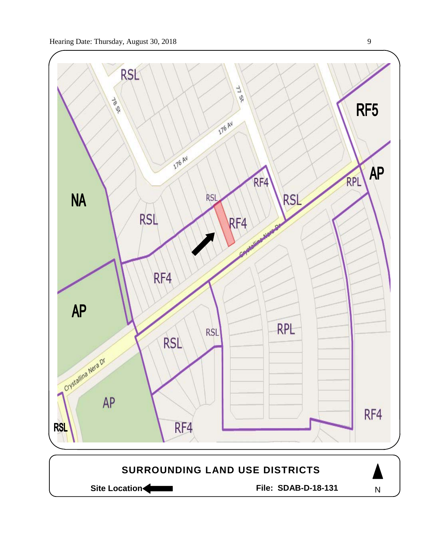

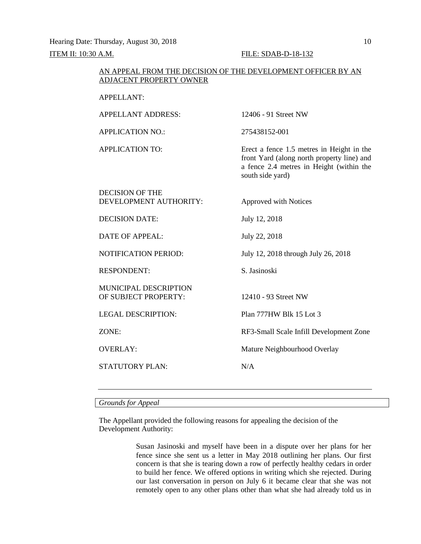Hearing Date: Thursday, August 30, 2018 10 ITEM II: 10:30 A.M. FILE: SDAB-D-18-132

#### AN APPEAL FROM THE DECISION OF THE DEVELOPMENT OFFICER BY AN ADJACENT PROPERTY OWNER

#### APPELLANT:

APPELLANT ADDRESS: 12406 - 91 Street NW APPLICATION NO.: 275438152-001 APPLICATION TO: Erect a fence 1.5 metres in Height in the front Yard (along north property line) and a fence 2.4 metres in Height (within the south side yard) DECISION OF THE DEVELOPMENT AUTHORITY: Approved with Notices DECISION DATE: July 12, 2018 DATE OF APPEAL: July 22, 2018 NOTIFICATION PERIOD: July 12, 2018 through July 26, 2018 RESPONDENT: S. Jasinoski MUNICIPAL DESCRIPTION OF SUBJECT PROPERTY: 12410 - 93 Street NW LEGAL DESCRIPTION: Plan 777HW Blk 15 Lot 3 ZONE: RF3-Small Scale Infill Development Zone OVERLAY: Mature Neighbourhood Overlay STATUTORY PLAN: N/A

#### *Grounds for Appeal*

The Appellant provided the following reasons for appealing the decision of the Development Authority:

> Susan Jasinoski and myself have been in a dispute over her plans for her fence since she sent us a letter in May 2018 outlining her plans. Our first concern is that she is tearing down a row of perfectly healthy cedars in order to build her fence. We offered options in writing which she rejected. During our last conversation in person on July 6 it became clear that she was not remotely open to any other plans other than what she had already told us in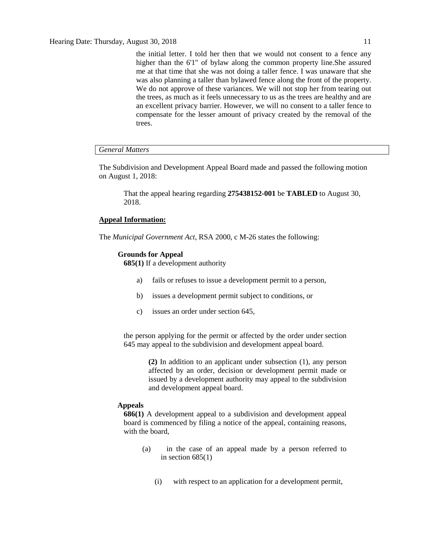the initial letter. I told her then that we would not consent to a fence any higher than the 6'1" of bylaw along the common property line.She assured me at that time that she was not doing a taller fence. I was unaware that she was also planning a taller than bylawed fence along the front of the property. We do not approve of these variances. We will not stop her from tearing out the trees, as much as it feels unnecessary to us as the trees are healthy and are an excellent privacy barrier. However, we will no consent to a taller fence to compensate for the lesser amount of privacy created by the removal of the trees.

#### *General Matters*

The Subdivision and Development Appeal Board made and passed the following motion on August 1, 2018:

That the appeal hearing regarding **275438152-001** be **TABLED** to August 30, 2018.

#### **Appeal Information:**

The *Municipal Government Act*, RSA 2000, c M-26 states the following:

#### **Grounds for Appeal**

**685(1)** If a development authority

- a) fails or refuses to issue a development permit to a person,
- b) issues a development permit subject to conditions, or
- c) issues an order under section 645,

the person applying for the permit or affected by the order under section 645 may appeal to the subdivision and development appeal board.

> **(2)** In addition to an applicant under subsection (1), any person affected by an order, decision or development permit made or issued by a development authority may appeal to the subdivision and development appeal board.

#### **Appeals**

**686(1)** A development appeal to a subdivision and development appeal board is commenced by filing a notice of the appeal, containing reasons, with the board,

- (a) in the case of an appeal made by a person referred to in section  $685(1)$ 
	- (i) with respect to an application for a development permit,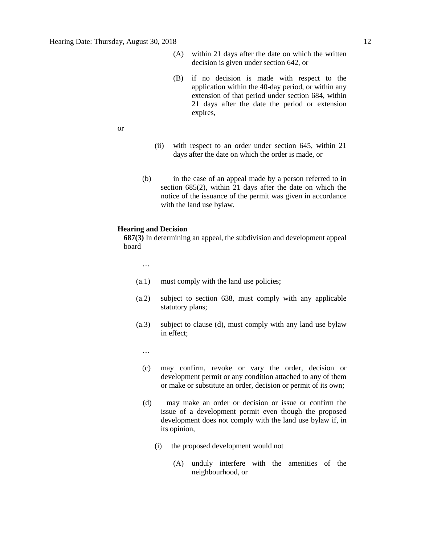- (A) within 21 days after the date on which the written decision is given under section 642, or
- (B) if no decision is made with respect to the application within the 40-day period, or within any extension of that period under section 684, within 21 days after the date the period or extension expires,

or

- (ii) with respect to an order under section 645, within 21 days after the date on which the order is made, or
- (b) in the case of an appeal made by a person referred to in section 685(2), within 21 days after the date on which the notice of the issuance of the permit was given in accordance with the land use bylaw.

#### **Hearing and Decision**

**687(3)** In determining an appeal, the subdivision and development appeal board

…

- (a.1) must comply with the land use policies;
- (a.2) subject to section 638, must comply with any applicable statutory plans;
- (a.3) subject to clause (d), must comply with any land use bylaw in effect;

…

- (c) may confirm, revoke or vary the order, decision or development permit or any condition attached to any of them or make or substitute an order, decision or permit of its own;
- (d) may make an order or decision or issue or confirm the issue of a development permit even though the proposed development does not comply with the land use bylaw if, in its opinion,
	- (i) the proposed development would not
		- (A) unduly interfere with the amenities of the neighbourhood, or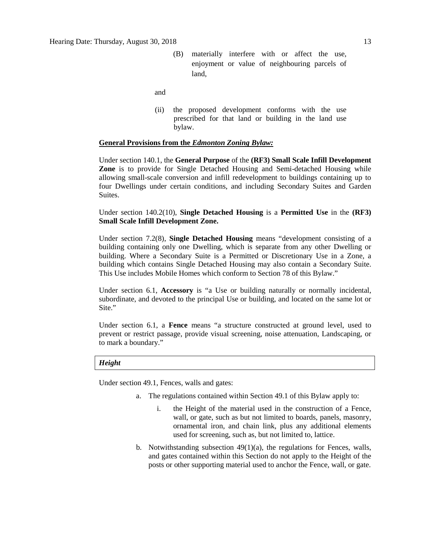(B) materially interfere with or affect the use, enjoyment or value of neighbouring parcels of land,

and

(ii) the proposed development conforms with the use prescribed for that land or building in the land use bylaw.

#### **General Provisions from the** *Edmonton Zoning Bylaw:*

Under section 140.1, the **General Purpose** of the **(RF3) Small Scale Infill Development Zone** is to provide for Single Detached Housing and Semi-detached Housing while allowing small-scale conversion and infill redevelopment to buildings containing up to four Dwellings under certain conditions, and including Secondary Suites and Garden Suites.

Under section 140.2(10), **Single Detached Housing** is a **Permitted Use** in the **(RF3) Small Scale Infill Development Zone.**

Under section 7.2(8), **Single Detached Housing** means "development consisting of a building containing only one Dwelling, which is separate from any other Dwelling or building. Where a Secondary Suite is a Permitted or Discretionary Use in a Zone, a building which contains Single Detached Housing may also contain a Secondary Suite. This Use includes Mobile Homes which conform to Section 78 of this Bylaw."

Under section 6.1, **Accessory** is "a Use or building naturally or normally incidental, subordinate, and devoted to the principal Use or building, and located on the same lot or Site."

Under section 6.1, a **Fence** means "a structure constructed at ground level, used to prevent or restrict passage, provide visual screening, noise attenuation, Landscaping, or to mark a boundary."

*Height*

Under section 49.1, Fences, walls and gates:

- a. The regulations contained within Section 49.1 of this Bylaw apply to:
	- i. the Height of the material used in the construction of a Fence, wall, or gate, such as but not limited to boards, panels, masonry, ornamental iron, and chain link, plus any additional elements used for screening, such as, but not limited to, lattice.
- b. Notwithstanding subsection 49(1)(a), the regulations for Fences, walls, and gates contained within this Section do not apply to the Height of the posts or other supporting material used to anchor the Fence, wall, or gate.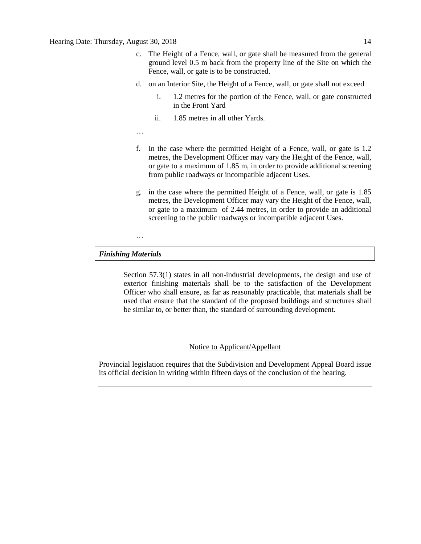- c. The Height of a Fence, wall, or gate shall be measured from the general ground level 0.5 m back from the property line of the Site on which the Fence, wall, or gate is to be constructed.
- d. on an Interior Site, the Height of a Fence, wall, or gate shall not exceed
	- i. 1.2 metres for the portion of the Fence, wall, or gate constructed in the Front Yard
	- ii. 1.85 metres in all other Yards.
- …
- f. In the case where the permitted Height of a Fence, wall, or gate is 1.2 metres, the Development Officer may vary the Height of the Fence, wall, or gate to a maximum of 1.85 m, in order to provide additional screening from public roadways or incompatible adjacent Uses.
- g. in the case where the permitted Height of a Fence, wall, or gate is 1.85 metres, the Development Officer may vary the Height of the Fence, wall, or gate to a maximum of 2.44 metres, in order to provide an additional screening to the public roadways or incompatible adjacent Uses.

#### *Finishing Materials*

…

Section 57.3(1) states in all non-industrial developments, the design and use of exterior finishing materials shall be to the satisfaction of the Development Officer who shall ensure, as far as reasonably practicable, that materials shall be used that ensure that the standard of the proposed buildings and structures shall be similar to, or better than, the standard of surrounding development.

Notice to Applicant/Appellant

Provincial legislation requires that the Subdivision and Development Appeal Board issue its official decision in writing within fifteen days of the conclusion of the hearing.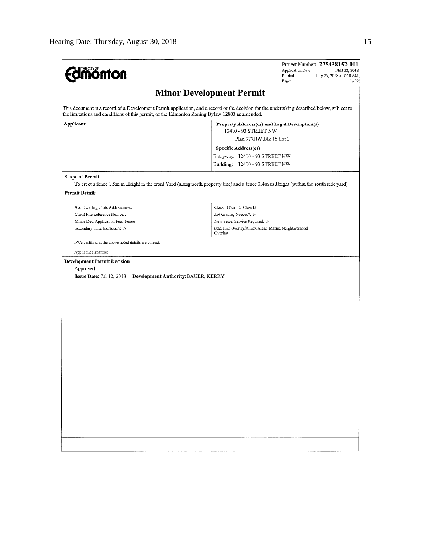| <b><i><u><u>monton</u></u></i></b>                                                            | Project Number: 275438152-001<br>Application Date:<br>FEB 22, 2018<br>Printed:<br>July 23, 2018 at 7:50 AM<br>$1$ of $2$<br>Page:           |  |  |
|-----------------------------------------------------------------------------------------------|---------------------------------------------------------------------------------------------------------------------------------------------|--|--|
|                                                                                               | <b>Minor Development Permit</b>                                                                                                             |  |  |
| the limitations and conditions of this permit, of the Edmonton Zoning Bylaw 12800 as amended. | This document is a record of a Development Permit application, and a record of the decision for the undertaking described below, subject to |  |  |
| Applicant                                                                                     | Property Address(es) and Legal Description(s)<br>12410 - 93 STREET NW                                                                       |  |  |
|                                                                                               | Plan 777HW Blk 15 Lot 3                                                                                                                     |  |  |
|                                                                                               | Specific Address(es)                                                                                                                        |  |  |
|                                                                                               | Entryway: 12410 - 93 STREET NW<br>Building: 12410 - 93 STREET NW                                                                            |  |  |
| <b>Scope of Permit</b>                                                                        |                                                                                                                                             |  |  |
|                                                                                               | To erect a fence 1.5m in Height in the front Yard (along north property line) and a fence 2.4m in Height (within the south side yard).      |  |  |
| <b>Permit Details</b>                                                                         |                                                                                                                                             |  |  |
| # of Dwelling Units Add/Remove:                                                               | Class of Permit: Class B                                                                                                                    |  |  |
| Client File Reference Number:                                                                 | Lot Grading Needed?: N                                                                                                                      |  |  |
| Minor Dev. Application Fee: Fence                                                             | New Sewer Service Required: N                                                                                                               |  |  |
| Secondary Suite Included ?: N                                                                 | Stat, Plan Overlay/Annex Area: Mature Neighbourhood<br>Overlay                                                                              |  |  |
| I/We certify that the above noted details are correct.                                        |                                                                                                                                             |  |  |
| Applicant signature:                                                                          |                                                                                                                                             |  |  |
| <b>Development Permit Decision</b>                                                            |                                                                                                                                             |  |  |
| Approved                                                                                      |                                                                                                                                             |  |  |
| Issue Date: Jul 12, 2018<br>Development Authority: BAUER, KERRY                               |                                                                                                                                             |  |  |
|                                                                                               |                                                                                                                                             |  |  |
|                                                                                               |                                                                                                                                             |  |  |
|                                                                                               |                                                                                                                                             |  |  |
|                                                                                               |                                                                                                                                             |  |  |
|                                                                                               |                                                                                                                                             |  |  |
|                                                                                               |                                                                                                                                             |  |  |
|                                                                                               |                                                                                                                                             |  |  |
|                                                                                               |                                                                                                                                             |  |  |
|                                                                                               |                                                                                                                                             |  |  |
|                                                                                               |                                                                                                                                             |  |  |
|                                                                                               |                                                                                                                                             |  |  |
|                                                                                               |                                                                                                                                             |  |  |
|                                                                                               |                                                                                                                                             |  |  |
|                                                                                               |                                                                                                                                             |  |  |
|                                                                                               |                                                                                                                                             |  |  |
| $\sim$                                                                                        |                                                                                                                                             |  |  |
|                                                                                               |                                                                                                                                             |  |  |
|                                                                                               |                                                                                                                                             |  |  |
|                                                                                               |                                                                                                                                             |  |  |
|                                                                                               |                                                                                                                                             |  |  |
|                                                                                               |                                                                                                                                             |  |  |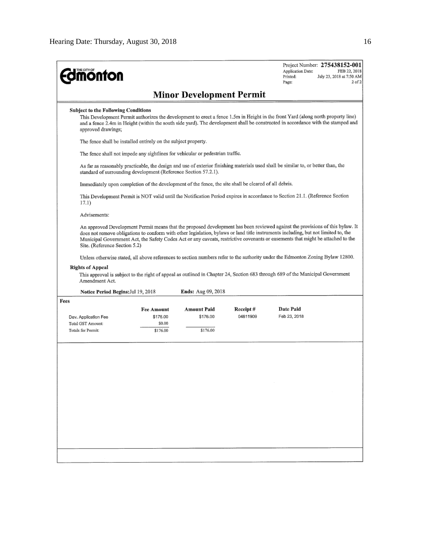| <b>monton</b>                                                                                                    |                                                                                                       |                                            |                       | Project Number: 275438152-001<br>Application Date:<br>FEB 22, 2018<br>Printed:<br>July 23, 2018 at 7:50 AM<br>Page:<br>2 <sub>0</sub> f2                                                                                                                                                                                                                                                                                                                                                                                                                                                                                                                                   |
|------------------------------------------------------------------------------------------------------------------|-------------------------------------------------------------------------------------------------------|--------------------------------------------|-----------------------|----------------------------------------------------------------------------------------------------------------------------------------------------------------------------------------------------------------------------------------------------------------------------------------------------------------------------------------------------------------------------------------------------------------------------------------------------------------------------------------------------------------------------------------------------------------------------------------------------------------------------------------------------------------------------|
|                                                                                                                  |                                                                                                       | <b>Minor Development Permit</b>            |                       |                                                                                                                                                                                                                                                                                                                                                                                                                                                                                                                                                                                                                                                                            |
| <b>Subject to the Following Conditions</b><br>approved drawings;                                                 |                                                                                                       |                                            |                       | This Development Permit authorizes the development to erect a fence 1.5m in Height in the front Yard (along north property line)<br>and a fence 2.4m in Height (within the south side yard). The development shall be constructed in accordance with the stamped and                                                                                                                                                                                                                                                                                                                                                                                                       |
|                                                                                                                  | The fence shall be installed entirely on the subject property.                                        |                                            |                       |                                                                                                                                                                                                                                                                                                                                                                                                                                                                                                                                                                                                                                                                            |
|                                                                                                                  | The fence shall not impede any sightlines for vehicular or pedestrian traffic.                        |                                            |                       |                                                                                                                                                                                                                                                                                                                                                                                                                                                                                                                                                                                                                                                                            |
|                                                                                                                  | standard of surrounding development (Reference Section 57.2.1).                                       |                                            |                       | As far as reasonably practicable, the design and use of exterior finishing materials used shall be similar to, or better than, the                                                                                                                                                                                                                                                                                                                                                                                                                                                                                                                                         |
|                                                                                                                  | Immediately upon completion of the development of the fence, the site shall be cleared of all debris. |                                            |                       |                                                                                                                                                                                                                                                                                                                                                                                                                                                                                                                                                                                                                                                                            |
| 17.1)                                                                                                            |                                                                                                       |                                            |                       | This Development Permit is NOT valid until the Notification Period expires in accordance to Section 21.1. (Reference Section                                                                                                                                                                                                                                                                                                                                                                                                                                                                                                                                               |
| Advisements:                                                                                                     |                                                                                                       |                                            |                       |                                                                                                                                                                                                                                                                                                                                                                                                                                                                                                                                                                                                                                                                            |
| Site. (Reference Section 5.2)<br><b>Rights of Appeal</b><br>Amendment Act.<br>Notice Period Begins: Jul 19, 2018 |                                                                                                       | <b>Ends:</b> Aug 09, 2018                  |                       | An approved Development Permit means that the proposed development has been reviewed against the provisions of this bylaw. It<br>does not remove obligations to conform with other legislation, bylaws or land title instruments including, but not limited to, the<br>Municipal Government Act, the Safety Codes Act or any caveats, restrictive covenants or easements that might be attached to the<br>Unless otherwise stated, all above references to section numbers refer to the authority under the Edmonton Zoning Bylaw 12800.<br>This approval is subject to the right of appeal as outlined in Chapter 24, Section 683 through 689 of the Municipal Government |
| Fees                                                                                                             |                                                                                                       |                                            |                       |                                                                                                                                                                                                                                                                                                                                                                                                                                                                                                                                                                                                                                                                            |
| Dev. Application Fee<br><b>Total GST Amount:</b><br><b>Totals for Permit:</b>                                    | <b>Fee Amount</b><br>\$176.00<br>\$0.00<br>\$176.00                                                   | <b>Amount Paid</b><br>\$176.00<br>\$176.00 | Receipt #<br>04811909 | Date Paid<br>Feb 23, 2018                                                                                                                                                                                                                                                                                                                                                                                                                                                                                                                                                                                                                                                  |
|                                                                                                                  |                                                                                                       |                                            |                       |                                                                                                                                                                                                                                                                                                                                                                                                                                                                                                                                                                                                                                                                            |